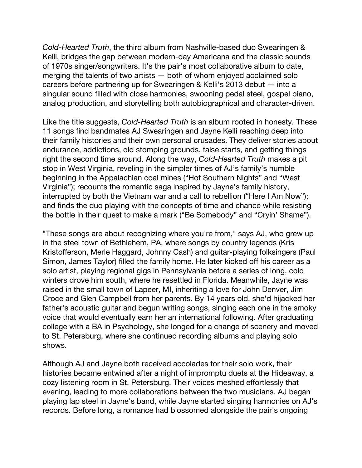*Cold-Hearted Truth*, the third album from Nashville-based duo Swearingen & Kelli, bridges the gap between modern-day Americana and the classic sounds of 1970s singer/songwriters. It's the pair's most collaborative album to date, merging the talents of two artists — both of whom enjoyed acclaimed solo careers before partnering up for Swearingen & Kelli's 2013 debut — into a singular sound filled with close harmonies, swooning pedal steel, gospel piano, analog production, and storytelling both autobiographical and character-driven.

Like the title suggests, *Cold-Hearted Truth* is an album rooted in honesty. These 11 songs find bandmates AJ Swearingen and Jayne Kelli reaching deep into their family histories and their own personal crusades. They deliver stories about endurance, addictions, old stomping grounds, false starts, and getting things right the second time around. Along the way, *Cold-Hearted Truth* makes a pit stop in West Virginia, reveling in the simpler times of AJ's family's humble beginning in the Appalachian coal mines ("Hot Southern Nights" and "West Virginia"); recounts the romantic saga inspired by Jayne's family history, interrupted by both the Vietnam war and a call to rebellion ("Here I Am Now"); and finds the duo playing with the concepts of time and chance while resisting the bottle in their quest to make a mark ("Be Somebody" and "Cryin' Shame").

"These songs are about recognizing where you're from," says AJ, who grew up in the steel town of Bethlehem, PA, where songs by country legends (Kris Kristofferson, Merle Haggard, Johnny Cash) and guitar-playing folksingers (Paul Simon, James Taylor) filled the family home. He later kicked off his career as a solo artist, playing regional gigs in Pennsylvania before a series of long, cold winters drove him south, where he resettled in Florida. Meanwhile, Jayne was raised in the small town of Lapeer, MI, inheriting a love for John Denver, Jim Croce and Glen Campbell from her parents. By 14 years old, she'd hijacked her father's acoustic guitar and begun writing songs, singing each one in the smoky voice that would eventually earn her an international following. After graduating college with a BA in Psychology, she longed for a change of scenery and moved to St. Petersburg, where she continued recording albums and playing solo shows.

Although AJ and Jayne both received accolades for their solo work, their histories became entwined after a night of impromptu duets at the Hideaway, a cozy listening room in St. Petersburg. Their voices meshed effortlessly that evening, leading to more collaborations between the two musicians. AJ began playing lap steel in Jayne's band, while Jayne started singing harmonies on AJ's records. Before long, a romance had blossomed alongside the pair's ongoing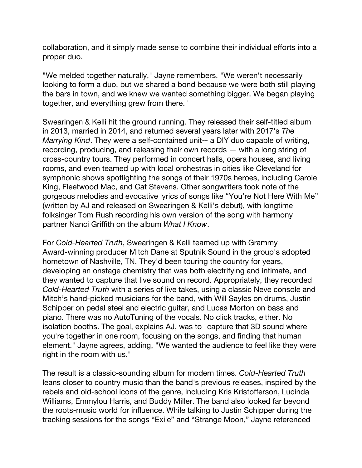collaboration, and it simply made sense to combine their individual efforts into a proper duo.

"We melded together naturally," Jayne remembers. "We weren't necessarily looking to form a duo, but we shared a bond because we were both still playing the bars in town, and we knew we wanted something bigger. We began playing together, and everything grew from there."

Swearingen & Kelli hit the ground running. They released their self-titled album in 2013, married in 2014, and returned several years later with 2017's *The Marrying Kind*. They were a self-contained unit-- a DIY duo capable of writing, recording, producing, and releasing their own records — with a long string of cross-country tours. They performed in concert halls, opera houses, and living rooms, and even teamed up with local orchestras in cities like Cleveland for symphonic shows spotlighting the songs of their 1970s heroes, including Carole King, Fleetwood Mac, and Cat Stevens. Other songwriters took note of the gorgeous melodies and evocative lyrics of songs like "You're Not Here With Me" (written by AJ and released on Swearingen & Kelli's debut), with longtime folksinger Tom Rush recording his own version of the song with harmony partner Nanci Griffith on the album *What I Know*.

For *Cold-Hearted Truth*, Swearingen & Kelli teamed up with Grammy Award-winning producer Mitch Dane at Sputnik Sound in the group's adopted hometown of Nashville, TN. They'd been touring the country for years, developing an onstage chemistry that was both electrifying and intimate, and they wanted to capture that live sound on record. Appropriately, they recorded *Cold-Hearted Truth* with a series of live takes, using a classic Neve console and Mitch's hand-picked musicians for the band, with Will Sayles on drums, Justin Schipper on pedal steel and electric guitar, and Lucas Morton on bass and piano. There was no AutoTuning of the vocals. No click tracks, either. No isolation booths. The goal, explains AJ, was to "capture that 3D sound where you're together in one room, focusing on the songs, and finding that human element." Jayne agrees, adding, "We wanted the audience to feel like they were right in the room with us."

The result is a classic-sounding album for modern times. *Cold-Hearted Truth* leans closer to country music than the band's previous releases, inspired by the rebels and old-school icons of the genre, including Kris Kristofferson, Lucinda Williams, Emmylou Harris, and Buddy Miller. The band also looked far beyond the roots-music world for influence. While talking to Justin Schipper during the tracking sessions for the songs "Exile" and "Strange Moon," Jayne referenced